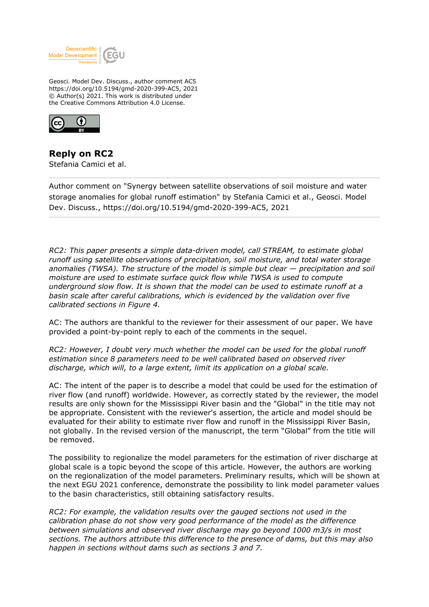

Geosci. Model Dev. Discuss., author comment AC5 https://doi.org/10.5194/gmd-2020-399-AC5, 2021 © Author(s) 2021. This work is distributed under the Creative Commons Attribution 4.0 License.



**Reply on RC2** Stefania Camici et al.

Author comment on "Synergy between satellite observations of soil moisture and water storage anomalies for global runoff estimation" by Stefania Camici et al., Geosci. Model Dev. Discuss., https://doi.org/10.5194/gmd-2020-399-AC5, 2021

*RC2: This paper presents a simple data-driven model, call STREAM, to estimate global runoff using satellite observations of precipitation, soil moisture, and total water storage anomalies (TWSA). The structure of the model is simple but clear — precipitation and soil moisture are used to estimate surface quick flow while TWSA is used to compute underground slow flow. It is shown that the model can be used to estimate runoff at a basin scale after careful calibrations, which is evidenced by the validation over five calibrated sections in Figure 4.*

AC: The authors are thankful to the reviewer for their assessment of our paper. We have provided a point-by-point reply to each of the comments in the sequel.

*RC2: However, I doubt very much whether the model can be used for the global runoff estimation since 8 parameters need to be well calibrated based on observed river discharge, which will, to a large extent, limit its application on a global scale.*

AC: The intent of the paper is to describe a model that could be used for the estimation of river flow (and runoff) worldwide. However, as correctly stated by the reviewer, the model results are only shown for the Mississippi River basin and the "Global" in the title may not be appropriate. Consistent with the reviewer's assertion, the article and model should be evaluated for their ability to estimate river flow and runoff in the Mississippi River Basin, not globally. In the revised version of the manuscript, the term "Global" from the title will be removed.

The possibility to regionalize the model parameters for the estimation of river discharge at global scale is a topic beyond the scope of this article. However, the authors are working on the regionalization of the model parameters. Preliminary results, which will be shown at the next EGU 2021 conference, demonstrate the possibility to link model parameter values to the basin characteristics, still obtaining satisfactory results.

*RC2: For example, the validation results over the gauged sections not used in the calibration phase do not show very good performance of the model as the difference between simulations and observed river discharge may go beyond 1000 m3/s in most sections. The authors attribute this difference to the presence of dams, but this may also happen in sections without dams such as sections 3 and 7.*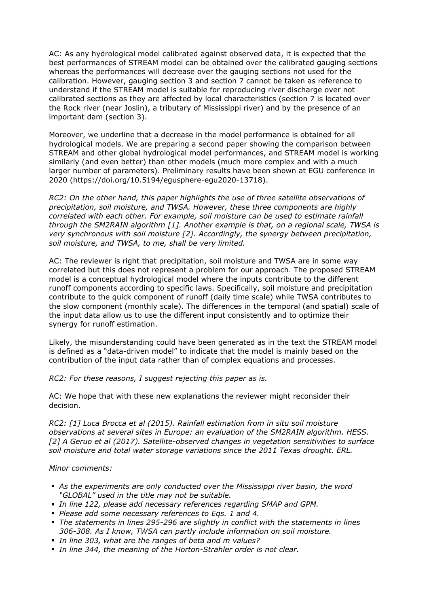AC: As any hydrological model calibrated against observed data, it is expected that the best performances of STREAM model can be obtained over the calibrated gauging sections whereas the performances will decrease over the gauging sections not used for the calibration. However, gauging section 3 and section 7 cannot be taken as reference to understand if the STREAM model is suitable for reproducing river discharge over not calibrated sections as they are affected by local characteristics (section 7 is located over the Rock river (near Joslin), a tributary of Mississippi river) and by the presence of an important dam (section 3).

Moreover, we underline that a decrease in the model performance is obtained for all hydrological models. We are preparing a second paper showing the comparison between STREAM and other global hydrological model performances, and STREAM model is working similarly (and even better) than other models (much more complex and with a much larger number of parameters). Preliminary results have been shown at EGU conference in 2020 (https://doi.org/10.5194/egusphere-egu2020-13718).

*RC2: On the other hand, this paper highlights the use of three satellite observations of precipitation, soil moisture, and TWSA. However, these three components are highly correlated with each other. For example, soil moisture can be used to estimate rainfall through the SM2RAIN algorithm [1]. Another example is that, on a regional scale, TWSA is very synchronous with soil moisture [2]. Accordingly, the synergy between precipitation, soil moisture, and TWSA, to me, shall be very limited.*

AC: The reviewer is right that precipitation, soil moisture and TWSA are in some way correlated but this does not represent a problem for our approach. The proposed STREAM model is a conceptual hydrological model where the inputs contribute to the different runoff components according to specific laws. Specifically, soil moisture and precipitation contribute to the quick component of runoff (daily time scale) while TWSA contributes to the slow component (monthly scale). The differences in the temporal (and spatial) scale of the input data allow us to use the different input consistently and to optimize their synergy for runoff estimation.

Likely, the misunderstanding could have been generated as in the text the STREAM model is defined as a "data-driven model" to indicate that the model is mainly based on the contribution of the input data rather than of complex equations and processes.

*RC2: For these reasons, I suggest rejecting this paper as is.*

AC: We hope that with these new explanations the reviewer might reconsider their decision.

*RC2: [1] Luca Brocca et al (2015). Rainfall estimation from in situ soil moisture observations at several sites in Europe: an evaluation of the SM2RAIN algorithm. HESS. [2] A Geruo et al (2017). Satellite-observed changes in vegetation sensitivities to surface soil moisture and total water storage variations since the 2011 Texas drought. ERL.*

## *Minor comments:*

- *As the experiments are only conducted over the Mississippi river basin, the word "GLOBAL" used in the title may not be suitable.*
- *In line 122, please add necessary references regarding SMAP and GPM.*
- *Please add some necessary references to Eqs. 1 and 4.*
- *The statements in lines 295-296 are slightly in conflict with the statements in lines 306-308. As I know, TWSA can partly include information on soil moisture.*
- *In line 303, what are the ranges of beta and m values?*
- *In line 344, the meaning of the Horton-Strahler order is not clear.*